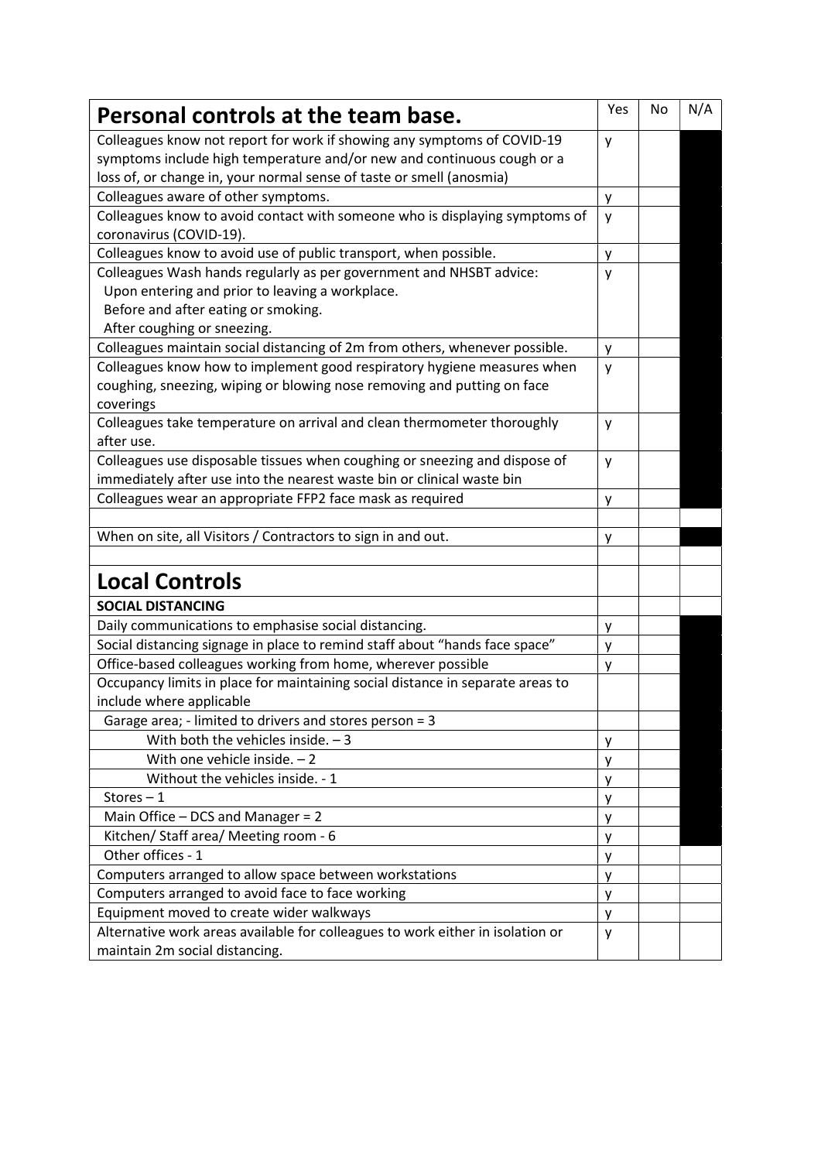| Personal controls at the team base.                                                                                                                                                                                       | Yes    | No | N/A |
|---------------------------------------------------------------------------------------------------------------------------------------------------------------------------------------------------------------------------|--------|----|-----|
| Colleagues know not report for work if showing any symptoms of COVID-19<br>symptoms include high temperature and/or new and continuous cough or a<br>loss of, or change in, your normal sense of taste or smell (anosmia) | у      |    |     |
| Colleagues aware of other symptoms.                                                                                                                                                                                       |        |    |     |
| Colleagues know to avoid contact with someone who is displaying symptoms of                                                                                                                                               | y      |    |     |
| coronavirus (COVID-19).                                                                                                                                                                                                   | y      |    |     |
| Colleagues know to avoid use of public transport, when possible.                                                                                                                                                          | y      |    |     |
| Colleagues Wash hands regularly as per government and NHSBT advice:<br>Upon entering and prior to leaving a workplace.                                                                                                    | y      |    |     |
| Before and after eating or smoking.                                                                                                                                                                                       |        |    |     |
| After coughing or sneezing.                                                                                                                                                                                               |        |    |     |
| Colleagues maintain social distancing of 2m from others, whenever possible.                                                                                                                                               | y      |    |     |
| Colleagues know how to implement good respiratory hygiene measures when<br>coughing, sneezing, wiping or blowing nose removing and putting on face<br>coverings                                                           | y      |    |     |
| Colleagues take temperature on arrival and clean thermometer thoroughly<br>after use.                                                                                                                                     | y      |    |     |
| Colleagues use disposable tissues when coughing or sneezing and dispose of                                                                                                                                                | y      |    |     |
| immediately after use into the nearest waste bin or clinical waste bin                                                                                                                                                    |        |    |     |
| Colleagues wear an appropriate FFP2 face mask as required                                                                                                                                                                 | y      |    |     |
|                                                                                                                                                                                                                           |        |    |     |
| When on site, all Visitors / Contractors to sign in and out.                                                                                                                                                              | у      |    |     |
|                                                                                                                                                                                                                           |        |    |     |
| <b>Local Controls</b>                                                                                                                                                                                                     |        |    |     |
| <b>SOCIAL DISTANCING</b>                                                                                                                                                                                                  |        |    |     |
| Daily communications to emphasise social distancing.                                                                                                                                                                      | y      |    |     |
| Social distancing signage in place to remind staff about "hands face space"                                                                                                                                               | у      |    |     |
| Office-based colleagues working from home, wherever possible                                                                                                                                                              | y      |    |     |
| Occupancy limits in place for maintaining social distance in separate areas to<br>include where applicable                                                                                                                |        |    |     |
| Garage area; - limited to drivers and stores person = 3                                                                                                                                                                   |        |    |     |
| With both the vehicles inside. $-3$                                                                                                                                                                                       | У      |    |     |
| With one vehicle inside. $-2$                                                                                                                                                                                             | y      |    |     |
| Without the vehicles inside. - 1                                                                                                                                                                                          | у      |    |     |
| Stores $-1$                                                                                                                                                                                                               | у      |    |     |
| Main Office - DCS and Manager = 2                                                                                                                                                                                         | y      |    |     |
| Kitchen/ Staff area/ Meeting room - 6                                                                                                                                                                                     | y      |    |     |
| Other offices - 1                                                                                                                                                                                                         |        |    |     |
| Computers arranged to allow space between workstations                                                                                                                                                                    | у<br>y |    |     |
| Computers arranged to avoid face to face working                                                                                                                                                                          |        |    |     |
| Equipment moved to create wider walkways                                                                                                                                                                                  | y<br>y |    |     |
| Alternative work areas available for colleagues to work either in isolation or                                                                                                                                            |        |    |     |
| maintain 2m social distancing.                                                                                                                                                                                            | y      |    |     |